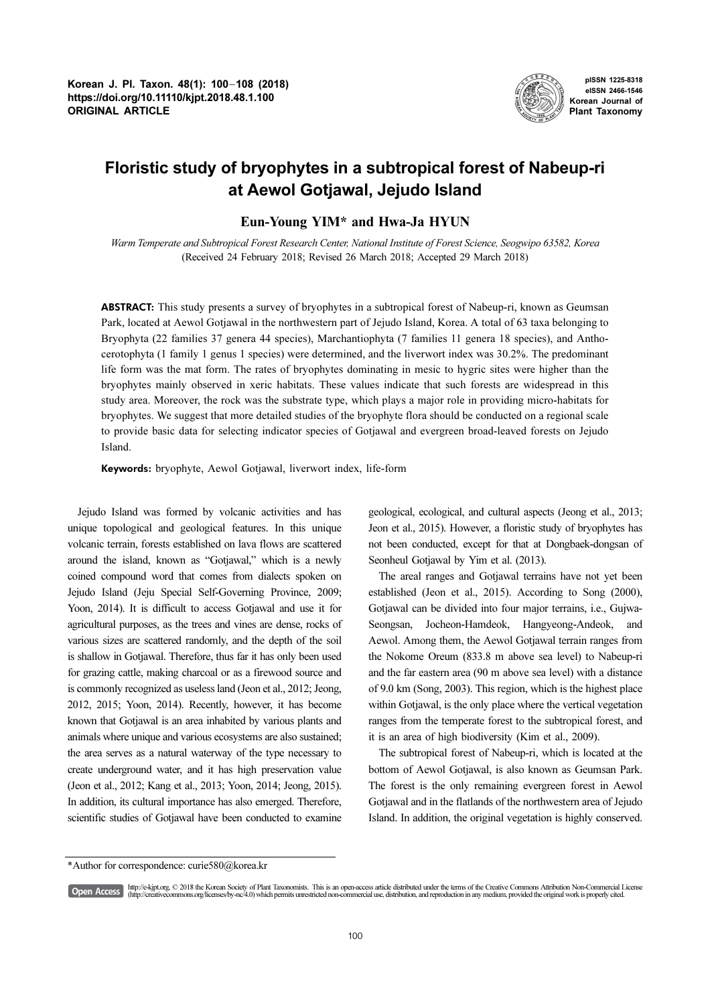

pISSN 1225-8318 eISSN 2466-1546 Korean Journal of Plant Taxonomy

# Floristic study of bryophytes in a subtropical forest of Nabeup-ri at Aewol Gotjawal, Jejudo Island

# Eun-Young YIM\* and Hwa-Ja HYUN

Warm Temperate and Subtropical Forest Research Center, National Institute of Forest Science, Seogwipo 63582, Korea (Received 24 February 2018; Revised 26 March 2018; Accepted 29 March 2018)

ABSTRACT: This study presents a survey of bryophytes in a subtropical forest of Nabeup-ri, known as Geumsan Park, located at Aewol Gotjawal in the northwestern part of Jejudo Island, Korea. A total of 63 taxa belonging to Bryophyta (22 families 37 genera 44 species), Marchantiophyta (7 families 11 genera 18 species), and Anthocerotophyta (1 family 1 genus 1 species) were determined, and the liverwort index was 30.2%. The predominant life form was the mat form. The rates of bryophytes dominating in mesic to hygric sites were higher than the bryophytes mainly observed in xeric habitats. These values indicate that such forests are widespread in this study area. Moreover, the rock was the substrate type, which plays a major role in providing micro-habitats for bryophytes. We suggest that more detailed studies of the bryophyte flora should be conducted on a regional scale to provide basic data for selecting indicator species of Gotjawal and evergreen broad-leaved forests on Jejudo Island.

Keywords: bryophyte, Aewol Gotjawal, liverwort index, life-form

Jejudo Island was formed by volcanic activities and has unique topological and geological features. In this unique volcanic terrain, forests established on lava flows are scattered around the island, known as "Gotjawal," which is a newly coined compound word that comes from dialects spoken on Jejudo Island (Jeju Special Self-Governing Province, 2009; Yoon, 2014). It is difficult to access Gotjawal and use it for agricultural purposes, as the trees and vines are dense, rocks of various sizes are scattered randomly, and the depth of the soil is shallow in Gotjawal. Therefore, thus far it has only been used for grazing cattle, making charcoal or as a firewood source and is commonly recognized as useless land (Jeon et al., 2012; Jeong, 2012, 2015; Yoon, 2014). Recently, however, it has become known that Gotjawal is an area inhabited by various plants and animals where unique and various ecosystems are also sustained; the area serves as a natural waterway of the type necessary to create underground water, and it has high preservation value (Jeon et al., 2012; Kang et al., 2013; Yoon, 2014; Jeong, 2015). In addition, its cultural importance has also emerged. Therefore, scientific studies of Gotjawal have been conducted to examine geological, ecological, and cultural aspects (Jeong et al., 2013; Jeon et al., 2015). However, a floristic study of bryophytes has not been conducted, except for that at Dongbaek-dongsan of Seonheul Gotjawal by Yim et al. (2013).

The areal ranges and Gotjawal terrains have not yet been established (Jeon et al., 2015). According to Song (2000), Gotjawal can be divided into four major terrains, i.e., Gujwa-Seongsan, Jocheon-Hamdeok, Hangyeong-Andeok, and Aewol. Among them, the Aewol Gotjawal terrain ranges from the Nokome Oreum (833.8 m above sea level) to Nabeup-ri and the far eastern area (90 m above sea level) with a distance of 9.0 km (Song, 2003). This region, which is the highest place within Gotjawal, is the only place where the vertical vegetation ranges from the temperate forest to the subtropical forest, and it is an area of high biodiversity (Kim et al., 2009).

The subtropical forest of Nabeup-ri, which is located at the bottom of Aewol Gotjawal, is also known as Geumsan Park. The forest is the only remaining evergreen forest in Aewol Gotjawal and in the flatlands of the northwestern area of Jejudo Island. In addition, the original vegetation is highly conserved.

[Open Access]

http://e-kjpt.org, © 2018 the Korean Society of Plant Taxonomists. This is an open-access article distributed under the terms of the Creative Commons Attribution Non-Commercial License (http://creativecommons.org/licenses/by-nc/4.0) which permits unrestricted non-commercial use, distribution, and reproduction in any medium, provided the original work is properly cited.

<sup>\*</sup>Author for correspondence: curie580@korea.kr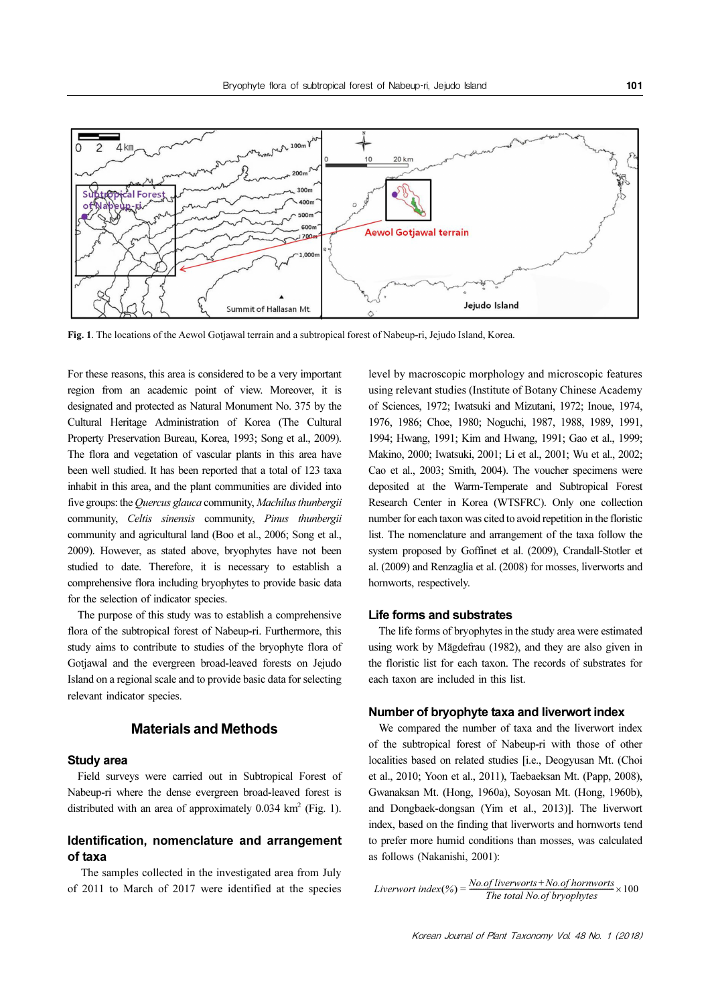

Fig. 1. The locations of the Aewol Gotiawal terrain and a subtropical forest of Nabeup-ri, Jejudo Island, Korea.

For these reasons, this area is considered to be a very important region from an academic point of view. Moreover, it is designated and protected as Natural Monument No. 375 by the Cultural Heritage Administration of Korea (The Cultural Property Preservation Bureau, Korea, 1993; Song et al., 2009). The flora and vegetation of vascular plants in this area have been well studied. It has been reported that a total of 123 taxa inhabit in this area, and the plant communities are divided into five groups: the Quercus glauca community, Machilus thunbergii community, Celtis sinensis community, Pinus thunbergii community and agricultural land (Boo et al., 2006; Song et al., 2009). However, as stated above, bryophytes have not been studied to date. Therefore, it is necessary to establish a comprehensive flora including bryophytes to provide basic data for the selection of indicator species.

The purpose of this study was to establish a comprehensive flora of the subtropical forest of Nabeup-ri. Furthermore, this study aims to contribute to studies of the bryophyte flora of Gotjawal and the evergreen broad-leaved forests on Jejudo Island on a regional scale and to provide basic data for selecting relevant indicator species.

# Materials and Methods

#### Study area

Field surveys were carried out in Subtropical Forest of Nabeup-ri where the dense evergreen broad-leaved forest is distributed with an area of approximately  $0.034 \text{ km}^2$  (Fig. 1).

## Identification, nomenclature and arrangement of taxa

 The samples collected in the investigated area from July of 2011 to March of 2017 were identified at the species level by macroscopic morphology and microscopic features using relevant studies (Institute of Botany Chinese Academy of Sciences, 1972; Iwatsuki and Mizutani, 1972; Inoue, 1974, 1976, 1986; Choe, 1980; Noguchi, 1987, 1988, 1989, 1991, 1994; Hwang, 1991; Kim and Hwang, 1991; Gao et al., 1999; Makino, 2000; Iwatsuki, 2001; Li et al., 2001; Wu et al., 2002; Cao et al., 2003; Smith, 2004). The voucher specimens were deposited at the Warm-Temperate and Subtropical Forest Research Center in Korea (WTSFRC). Only one collection number for each taxon was cited to avoid repetition in the floristic list. The nomenclature and arrangement of the taxa follow the system proposed by Goffinet et al. (2009), Crandall-Stotler et al. (2009) and Renzaglia et al. (2008) for mosses, liverworts and hornworts, respectively.

#### Life forms and substrates

The life forms of bryophytes in the study area were estimated using work by Mägdefrau (1982), and they are also given in the floristic list for each taxon. The records of substrates for each taxon are included in this list.

#### Number of bryophyte taxa and liverwort index

We compared the number of taxa and the liverwort index of the subtropical forest of Nabeup-ri with those of other localities based on related studies [i.e., Deogyusan Mt. (Choi et al., 2010; Yoon et al., 2011), Taebaeksan Mt. (Papp, 2008), Gwanaksan Mt. (Hong, 1960a), Soyosan Mt. (Hong, 1960b), and Dongbaek-dongsan (Yim et al., 2013)]. The liverwort index, based on the finding that liverworts and hornworts tend to prefer more humid conditions than mosses, was calculated as follows (Nakanishi, 2001):

Liverwort index $(\%) = \frac{No.of\,ivers + No.of\,hornworts}{The\ total\ No.of\,hronworts} \times 100$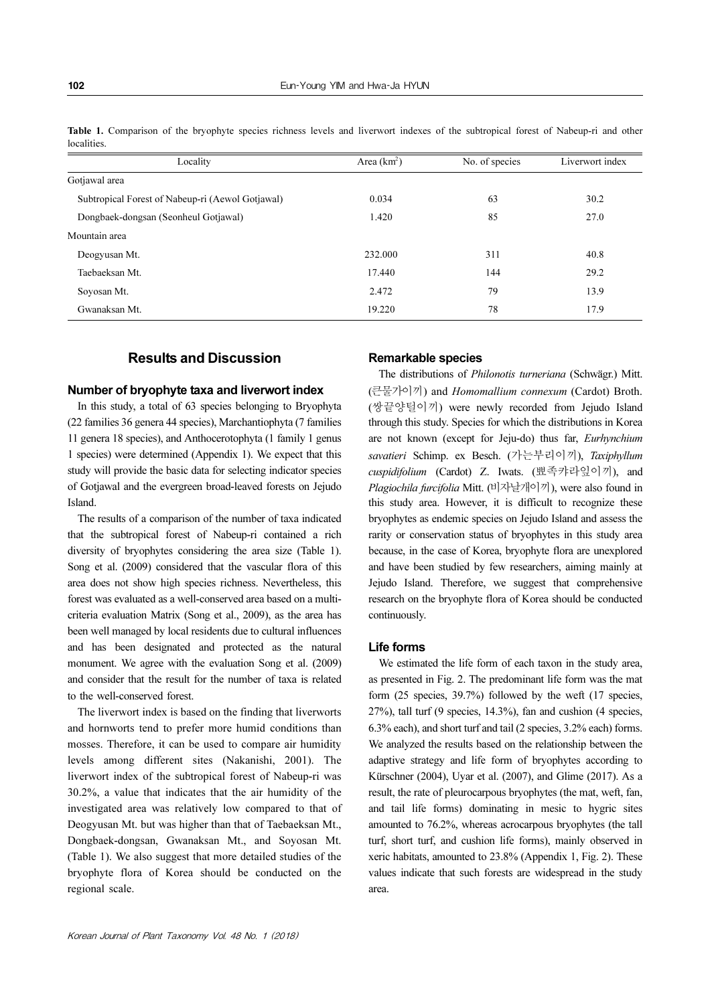| Locality                                         | Area $(km2)$ | No. of species | Liverwort index |
|--------------------------------------------------|--------------|----------------|-----------------|
| Gotjawal area                                    |              |                |                 |
| Subtropical Forest of Nabeup-ri (Aewol Gotjawal) | 0.034        | 63             | 30.2            |
| Dongbaek-dongsan (Seonheul Gotjawal)             | 1.420        | 85             | 27.0            |
| Mountain area                                    |              |                |                 |
| Deogyusan Mt.                                    | 232.000      | 311            | 40.8            |
| Taebaeksan Mt.                                   | 17.440       | 144            | 29.2            |
| Soyosan Mt.                                      | 2.472        | 79             | 13.9            |
| Gwanaksan Mt.                                    | 19.220       | 78             | 17.9            |

Table 1. Comparison of the bryophyte species richness levels and liverwort indexes of the subtropical forest of Nabeup-ri and other **localities** 

# Results and Discussion

#### Number of bryophyte taxa and liverwort index

In this study, a total of 63 species belonging to Bryophyta (22 families 36 genera 44 species), Marchantiophyta (7 families 11 genera 18 species), and Anthocerotophyta (1 family 1 genus 1 species) were determined (Appendix 1). We expect that this study will provide the basic data for selecting indicator species of Gotjawal and the evergreen broad-leaved forests on Jejudo Island.

The results of a comparison of the number of taxa indicated that the subtropical forest of Nabeup-ri contained a rich diversity of bryophytes considering the area size (Table 1). Song et al. (2009) considered that the vascular flora of this area does not show high species richness. Nevertheless, this forest was evaluated as a well-conserved area based on a multicriteria evaluation Matrix (Song et al., 2009), as the area has been well managed by local residents due to cultural influences and has been designated and protected as the natural monument. We agree with the evaluation Song et al. (2009) and consider that the result for the number of taxa is related to the well-conserved forest.

The liverwort index is based on the finding that liverworts and hornworts tend to prefer more humid conditions than mosses. Therefore, it can be used to compare air humidity levels among different sites (Nakanishi, 2001). The liverwort index of the subtropical forest of Nabeup-ri was 30.2%, a value that indicates that the air humidity of the investigated area was relatively low compared to that of Deogyusan Mt. but was higher than that of Taebaeksan Mt., Dongbaek-dongsan, Gwanaksan Mt., and Soyosan Mt. (Table 1). We also suggest that more detailed studies of the bryophyte flora of Korea should be conducted on the regional scale.

#### Remarkable species

The distributions of Philonotis turneriana (Schwägr.) Mitt. (큰물가이끼) and Homomallium connexum (Cardot) Broth. (쌍끝양털이끼) were newly recorded from Jejudo Island through this study. Species for which the distributions in Korea are not known (except for Jeju-do) thus far, Eurhynchium savatieri Schimp. ex Besch. (가는부리이끼), Taxiphyllum cuspidifolium (Cardot) Z. Iwats. (뾰족캬라잎이끼), and Plagiochila furcifolia Mitt. (비자날개이끼), were also found in this study area. However, it is difficult to recognize these bryophytes as endemic species on Jejudo Island and assess the rarity or conservation status of bryophytes in this study area because, in the case of Korea, bryophyte flora are unexplored and have been studied by few researchers, aiming mainly at Jejudo Island. Therefore, we suggest that comprehensive research on the bryophyte flora of Korea should be conducted continuously.

#### Life forms

We estimated the life form of each taxon in the study area, as presented in Fig. 2. The predominant life form was the mat form (25 species, 39.7%) followed by the weft (17 species, 27%), tall turf (9 species, 14.3%), fan and cushion (4 species, 6.3% each), and short turf and tail (2 species, 3.2% each) forms. We analyzed the results based on the relationship between the adaptive strategy and life form of bryophytes according to Kürschner (2004), Uyar et al. (2007), and Glime (2017). As a result, the rate of pleurocarpous bryophytes (the mat, weft, fan, and tail life forms) dominating in mesic to hygric sites amounted to 76.2%, whereas acrocarpous bryophytes (the tall turf, short turf, and cushion life forms), mainly observed in xeric habitats, amounted to 23.8% (Appendix 1, Fig. 2). These values indicate that such forests are widespread in the study area.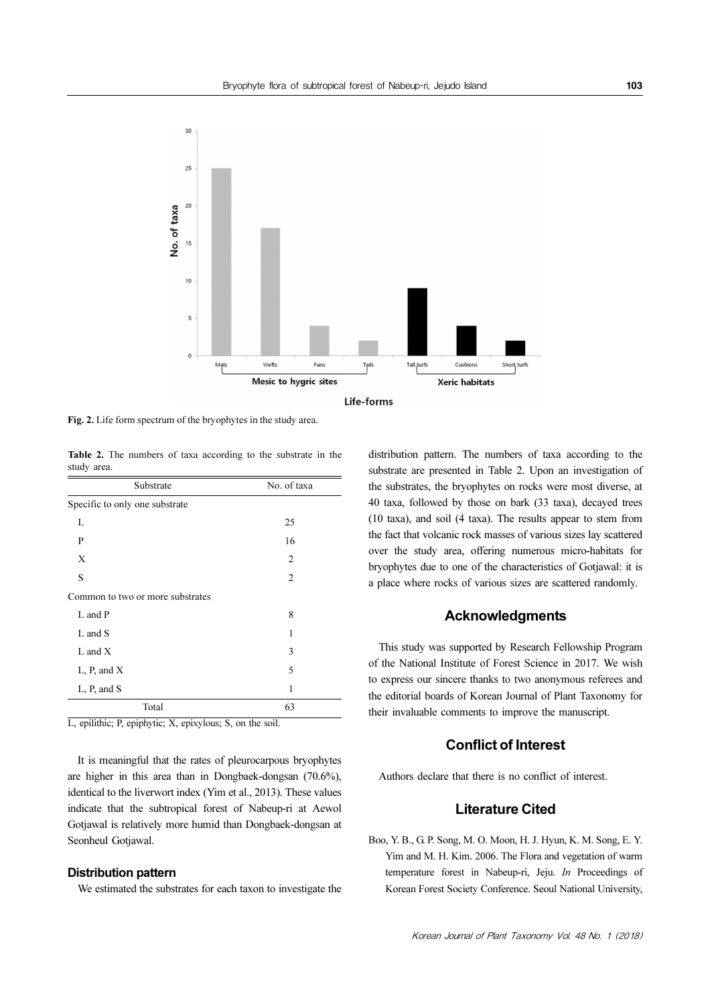

Fig. 2. Life form spectrum of the bryophytes in the study area.

Table 2. The numbers of taxa according to the substrate in the study area.

| Substrate                        | No. of taxa    |  |  |
|----------------------------------|----------------|--|--|
| Specific to only one substrate   |                |  |  |
| L                                | 25             |  |  |
| P                                | 16             |  |  |
| X                                | 2              |  |  |
| S                                | $\overline{c}$ |  |  |
| Common to two or more substrates |                |  |  |
| L and P                          | 8              |  |  |
| L and S                          | 1              |  |  |
| $L$ and $X$                      | 3              |  |  |
| L, P, and X                      | 5              |  |  |
| L, P, and S                      | 1              |  |  |
| Total                            | 63             |  |  |

L, epilithic; P, epiphytic; X, epixylous; S, on the soil.

It is meaningful that the rates of pleurocarpous bryophytes are higher in this area than in Dongbaek-dongsan (70.6%), identical to the liverwort index (Yim et al., 2013). These values indicate that the subtropical forest of Nabeup-ri at Aewol Gotjawal is relatively more humid than Dongbaek-dongsan at Seonheul Gotjawal.

#### Distribution pattern

We estimated the substrates for each taxon to investigate the

distribution pattern. The numbers of taxa according to the substrate are presented in Table 2. Upon an investigation of the substrates, the bryophytes on rocks were most diverse, at 40 taxa, followed by those on bark (33 taxa), decayed trees (10 taxa), and soil (4 taxa). The results appear to stem from the fact that volcanic rock masses of various sizes lay scattered over the study area, offering numerous micro-habitats for bryophytes due to one of the characteristics of Gotjawal: it is a place where rocks of various sizes are scattered randomly.

### Acknowledgments

This study was supported by Research Fellowship Program of the National Institute of Forest Science in 2017. We wish to express our sincere thanks to two anonymous referees and the editorial boards of Korean Journal of Plant Taxonomy for their invaluable comments to improve the manuscript.

# Conflict of Interest

Authors declare that there is no conflict of interest.

# Literature Cited

Boo, Y. B., G. P. Song, M. O. Moon, H. J. Hyun, K. M. Song, E. Y. Yim and M. H. Kim. 2006. The Flora and vegetation of warm temperature forest in Nabeup-ri, Jeju. In Proceedings of Korean Forest Society Conference. Seoul National University,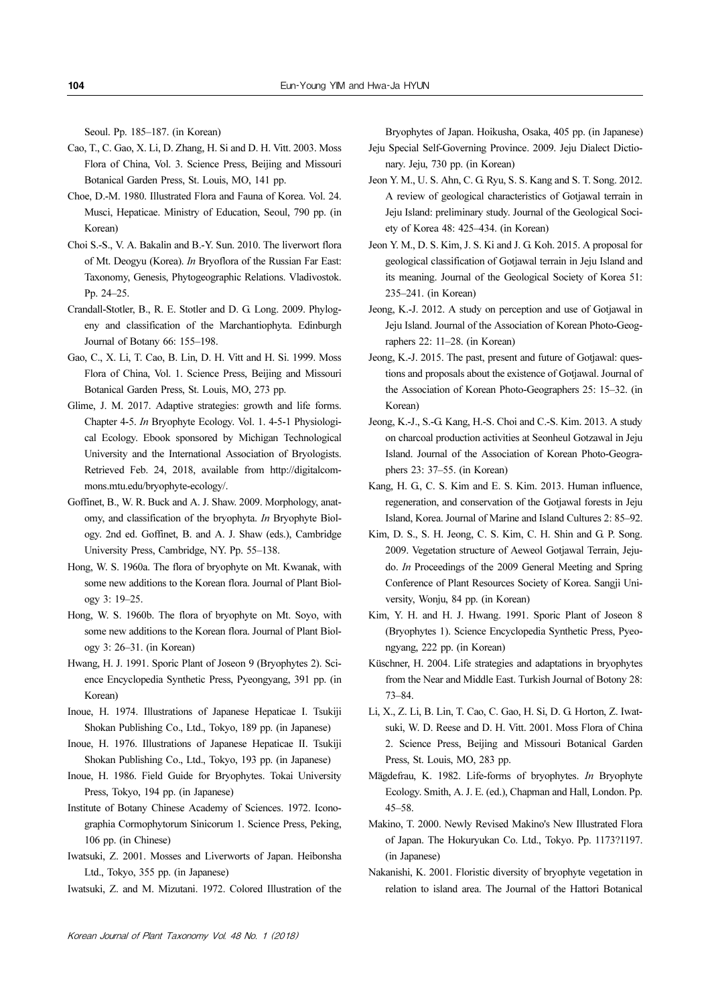Seoul. Pp. 185–187. (in Korean)

- Cao, T., C. Gao, X. Li, D. Zhang, H. Si and D. H. Vitt. 2003. Moss Flora of China, Vol. 3. Science Press, Beijing and Missouri Botanical Garden Press, St. Louis, MO, 141 pp.
- Choe, D.-M. 1980. Illustrated Flora and Fauna of Korea. Vol. 24. Musci, Hepaticae. Ministry of Education, Seoul, 790 pp. (in Korean)
- Choi S.-S., V. A. Bakalin and B.-Y. Sun. 2010. The liverwort flora of Mt. Deogyu (Korea). In Bryoflora of the Russian Far East: Taxonomy, Genesis, Phytogeographic Relations. Vladivostok. Pp. 24–25.
- Crandall-Stotler, B., R. E. Stotler and D. G. Long. 2009. Phylogeny and classification of the Marchantiophyta. Edinburgh Journal of Botany 66: 155–198.
- Gao, C., X. Li, T. Cao, B. Lin, D. H. Vitt and H. Si. 1999. Moss Flora of China, Vol. 1. Science Press, Beijing and Missouri Botanical Garden Press, St. Louis, MO, 273 pp.
- Glime, J. M. 2017. Adaptive strategies: growth and life forms. Chapter 4-5. In Bryophyte Ecology. Vol. 1. 4-5-1 Physiological Ecology. Ebook sponsored by Michigan Technological University and the International Association of Bryologists. Retrieved Feb. 24, 2018, available from http://digitalcommons.mtu.edu/bryophyte-ecology/.
- Goffinet, B., W. R. Buck and A. J. Shaw. 2009. Morphology, anatomy, and classification of the bryophyta. In Bryophyte Biology. 2nd ed. Goffinet, B. and A. J. Shaw (eds.), Cambridge University Press, Cambridge, NY. Pp. 55–138.
- Hong, W. S. 1960a. The flora of bryophyte on Mt. Kwanak, with some new additions to the Korean flora. Journal of Plant Biology 3: 19–25.
- Hong, W. S. 1960b. The flora of bryophyte on Mt. Soyo, with some new additions to the Korean flora. Journal of Plant Biology 3: 26–31. (in Korean)
- Hwang, H. J. 1991. Sporic Plant of Joseon 9 (Bryophytes 2). Science Encyclopedia Synthetic Press, Pyeongyang, 391 pp. (in Korean)
- Inoue, H. 1974. Illustrations of Japanese Hepaticae I. Tsukiji Shokan Publishing Co., Ltd., Tokyo, 189 pp. (in Japanese)
- Inoue, H. 1976. Illustrations of Japanese Hepaticae II. Tsukiji Shokan Publishing Co., Ltd., Tokyo, 193 pp. (in Japanese)
- Inoue, H. 1986. Field Guide for Bryophytes. Tokai University Press, Tokyo, 194 pp. (in Japanese)
- Institute of Botany Chinese Academy of Sciences. 1972. Iconographia Cormophytorum Sinicorum 1. Science Press, Peking, 106 pp. (in Chinese)
- Iwatsuki, Z. 2001. Mosses and Liverworts of Japan. Heibonsha Ltd., Tokyo, 355 pp. (in Japanese)
- Iwatsuki, Z. and M. Mizutani. 1972. Colored Illustration of the

Bryophytes of Japan. Hoikusha, Osaka, 405 pp. (in Japanese) Jeju Special Self-Governing Province. 2009. Jeju Dialect Dictionary. Jeju, 730 pp. (in Korean)

- Jeon Y. M., U. S. Ahn, C. G. Ryu, S. S. Kang and S. T. Song. 2012. A review of geological characteristics of Gotjawal terrain in Jeju Island: preliminary study. Journal of the Geological Society of Korea 48: 425–434. (in Korean)
- Jeon Y. M., D. S. Kim, J. S. Ki and J. G. Koh. 2015. A proposal for geological classification of Gotjawal terrain in Jeju Island and its meaning. Journal of the Geological Society of Korea 51: 235–241. (in Korean)
- Jeong, K.-J. 2012. A study on perception and use of Gotjawal in Jeju Island. Journal of the Association of Korean Photo-Geographers 22: 11–28. (in Korean)
- Jeong, K.-J. 2015. The past, present and future of Gotjawal: questions and proposals about the existence of Gotjawal. Journal of the Association of Korean Photo-Geographers 25: 15–32. (in Korean)
- Jeong, K.-J., S.-G. Kang, H.-S. Choi and C.-S. Kim. 2013. A study on charcoal production activities at Seonheul Gotzawal in Jeju Island. Journal of the Association of Korean Photo-Geographers 23: 37–55. (in Korean)
- Kang, H. G., C. S. Kim and E. S. Kim. 2013. Human influence, regeneration, and conservation of the Gotjawal forests in Jeju Island, Korea. Journal of Marine and Island Cultures 2: 85–92.
- Kim, D. S., S. H. Jeong, C. S. Kim, C. H. Shin and G. P. Song. 2009. Vegetation structure of Aeweol Gotjawal Terrain, Jejudo. In Proceedings of the 2009 General Meeting and Spring Conference of Plant Resources Society of Korea. Sangji University, Wonju, 84 pp. (in Korean)
- Kim, Y. H. and H. J. Hwang. 1991. Sporic Plant of Joseon 8 (Bryophytes 1). Science Encyclopedia Synthetic Press, Pyeongyang, 222 pp. (in Korean)
- Küschner, H. 2004. Life strategies and adaptations in bryophytes from the Near and Middle East. Turkish Journal of Botony 28: 73–84.
- Li, X., Z. Li, B. Lin, T. Cao, C. Gao, H. Si, D. G. Horton, Z. Iwatsuki, W. D. Reese and D. H. Vitt. 2001. Moss Flora of China 2. Science Press, Beijing and Missouri Botanical Garden Press, St. Louis, MO, 283 pp.
- Mägdefrau, K. 1982. Life-forms of bryophytes. In Bryophyte Ecology. Smith, A. J. E. (ed.), Chapman and Hall, London. Pp. 45–58.
- Makino, T. 2000. Newly Revised Makino's New Illustrated Flora of Japan. The Hokuryukan Co. Ltd., Tokyo. Pp. 1173?1197. (in Japanese)
- Nakanishi, K. 2001. Floristic diversity of bryophyte vegetation in relation to island area. The Journal of the Hattori Botanical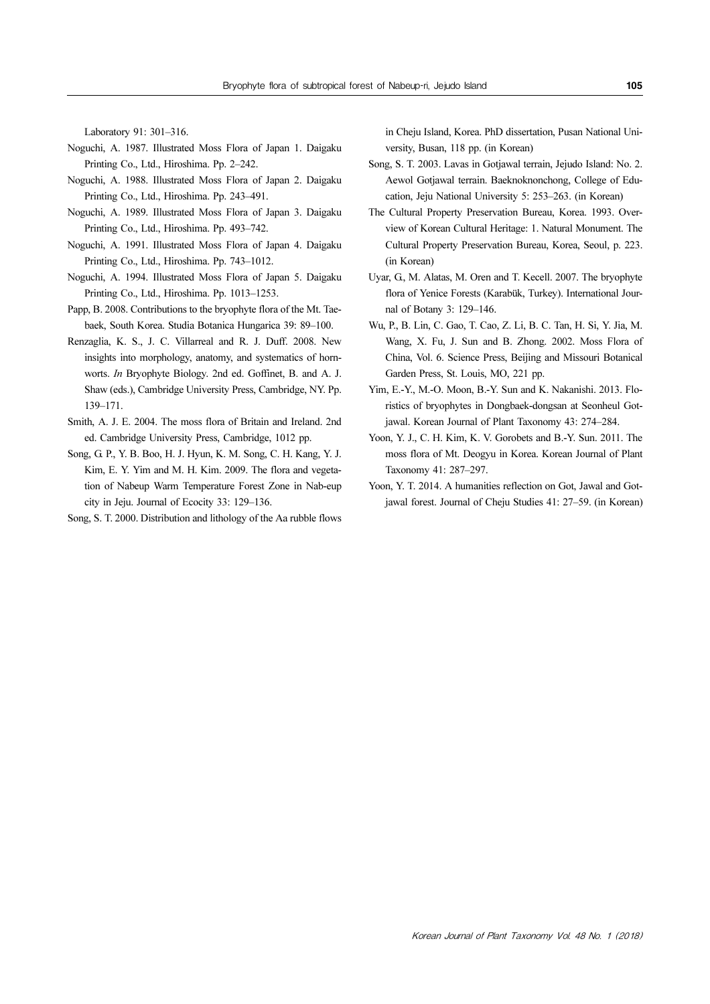Laboratory 91: 301–316.

- Noguchi, A. 1987. Illustrated Moss Flora of Japan 1. Daigaku Printing Co., Ltd., Hiroshima. Pp. 2–242.
- Noguchi, A. 1988. Illustrated Moss Flora of Japan 2. Daigaku Printing Co., Ltd., Hiroshima. Pp. 243–491.
- Noguchi, A. 1989. Illustrated Moss Flora of Japan 3. Daigaku Printing Co., Ltd., Hiroshima. Pp. 493–742.
- Noguchi, A. 1991. Illustrated Moss Flora of Japan 4. Daigaku Printing Co., Ltd., Hiroshima. Pp. 743–1012.
- Noguchi, A. 1994. Illustrated Moss Flora of Japan 5. Daigaku Printing Co., Ltd., Hiroshima. Pp. 1013–1253.
- Papp, B. 2008. Contributions to the bryophyte flora of the Mt. Taebaek, South Korea. Studia Botanica Hungarica 39: 89–100.
- Renzaglia, K. S., J. C. Villarreal and R. J. Duff. 2008. New insights into morphology, anatomy, and systematics of hornworts. In Bryophyte Biology. 2nd ed. Goffinet, B. and A. J. Shaw (eds.), Cambridge University Press, Cambridge, NY. Pp. 139–171.
- Smith, A. J. E. 2004. The moss flora of Britain and Ireland. 2nd ed. Cambridge University Press, Cambridge, 1012 pp.
- Song, G. P., Y. B. Boo, H. J. Hyun, K. M. Song, C. H. Kang, Y. J. Kim, E. Y. Yim and M. H. Kim. 2009. The flora and vegetation of Nabeup Warm Temperature Forest Zone in Nab-eup city in Jeju. Journal of Ecocity 33: 129–136.
- Song, S. T. 2000. Distribution and lithology of the Aa rubble flows

in Cheju Island, Korea. PhD dissertation, Pusan National University, Busan, 118 pp. (in Korean)

- Song, S. T. 2003. Lavas in Gotjawal terrain, Jejudo Island: No. 2. Aewol Gotjawal terrain. Baeknoknonchong, College of Education, Jeju National University 5: 253–263. (in Korean)
- The Cultural Property Preservation Bureau, Korea. 1993. Overview of Korean Cultural Heritage: 1. Natural Monument. The Cultural Property Preservation Bureau, Korea, Seoul, p. 223. (in Korean)
- Uyar, G., M. Alatas, M. Oren and T. Kecell. 2007. The bryophyte flora of Yenice Forests (Karabük, Turkey). International Journal of Botany 3: 129–146.
- Wu, P., B. Lin, C. Gao, T. Cao, Z. Li, B. C. Tan, H. Si, Y. Jia, M. Wang, X. Fu, J. Sun and B. Zhong. 2002. Moss Flora of China, Vol. 6. Science Press, Beijing and Missouri Botanical Garden Press, St. Louis, MO, 221 pp.
- Yim, E.-Y., M.-O. Moon, B.-Y. Sun and K. Nakanishi. 2013. Floristics of bryophytes in Dongbaek-dongsan at Seonheul Gotjawal. Korean Journal of Plant Taxonomy 43: 274–284.
- Yoon, Y. J., C. H. Kim, K. V. Gorobets and B.-Y. Sun. 2011. The moss flora of Mt. Deogyu in Korea. Korean Journal of Plant Taxonomy 41: 287–297.
- Yoon, Y. T. 2014. A humanities reflection on Got, Jawal and Gotjawal forest. Journal of Cheju Studies 41: 27–59. (in Korean)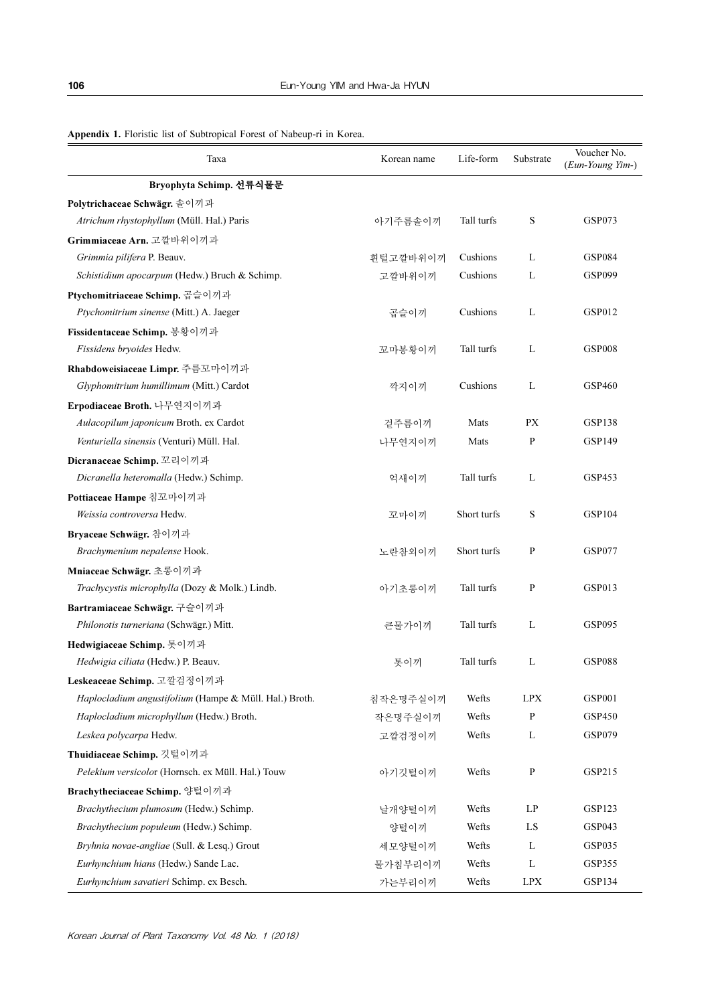| Appendix 1. Floristic list of Subtropical Forest of Nabeup-ri in Korea. |
|-------------------------------------------------------------------------|
|-------------------------------------------------------------------------|

| Taxa                                                   | Korean name | Life-form   | Substrate    | Voucher No.<br>(Eun-Young Yim-) |
|--------------------------------------------------------|-------------|-------------|--------------|---------------------------------|
| Bryophyta Schimp. 선류식물문                                |             |             |              |                                 |
| Polytrichaceae Schwägr. 솔이끼과                           |             |             |              |                                 |
| Atrichum rhystophyllum (Müll. Hal.) Paris              | 아기주름솔이끼     | Tall turfs  | S            | <b>GSP073</b>                   |
| Grimmiaceae Arn. 고깔바위이끼과                               |             |             |              |                                 |
| Grimmia pilifera P. Beauv.                             | 흰털고깔바위이끼    | Cushions    | L            | <b>GSP084</b>                   |
| Schistidium apocarpum (Hedw.) Bruch & Schimp.          | 고깔바위이끼      | Cushions    | L            | <b>GSP099</b>                   |
| Ptychomitriaceae Schimp. 곱슬이끼과                         |             |             |              |                                 |
| Ptychomitrium sinense (Mitt.) A. Jaeger                | 곱슬이끼        | Cushions    | L            | <b>GSP012</b>                   |
| Fissidentaceae Schimp. 봉황이끼과                           |             |             |              |                                 |
| Fissidens bryoides Hedw.                               | 꼬마봉황이끼      | Tall turfs  | L            | <b>GSP008</b>                   |
| Rhabdoweisiaceae Limpr. 주름꼬마이끼과                        |             |             |              |                                 |
| Glyphomitrium humillimum (Mitt.) Cardot                | 깍지이끼        | Cushions    | L            | <b>GSP460</b>                   |
| Erpodiaceae Broth. 나무연지이끼과                             |             |             |              |                                 |
| Aulacopilum japonicum Broth. ex Cardot                 | 겉주름이끼       | Mats        | PX           | <b>GSP138</b>                   |
| Venturiella sinensis (Venturi) Müll. Hal.              | 나무연지이끼      | Mats        | P            | <b>GSP149</b>                   |
| Dicranaceae Schimp. 꼬리이끼과                              |             |             |              |                                 |
| Dicranella heteromalla (Hedw.) Schimp.                 | 억새이끼        | Tall turfs  | L            | GSP453                          |
| Pottiaceae Hampe 침꼬마이끼과                                |             |             |              |                                 |
| Weissia controversa Hedw.                              | 꼬마이끼        | Short turfs | S            | <b>GSP104</b>                   |
| Bryaceae Schwägr. 참이끼과                                 |             |             |              |                                 |
| Brachymenium nepalense Hook.                           | 노란참외이끼      | Short turfs | P            | <b>GSP077</b>                   |
| Mniaceae Schwägr. 초롱이끼과                                |             |             |              |                                 |
| Trachycystis microphylla (Dozy & Molk.) Lindb.         | 아기초롱이끼      | Tall turfs  | $\mathbf{P}$ | <b>GSP013</b>                   |
| Bartramiaceae Schwägr. 구슬이끼과                           |             |             |              |                                 |
| Philonotis turneriana (Schwägr.) Mitt.                 | 큰물가이끼       | Tall turfs  | L            | <b>GSP095</b>                   |
| Hedwigiaceae Schimp. 톳이끼과                              |             |             |              |                                 |
| Hedwigia ciliata (Hedw.) P. Beauv.                     | 톳이끼         | Tall turfs  | L            | <b>GSP088</b>                   |
| Leskeaceae Schimp. 고깔검정이끼과                             |             |             |              |                                 |
| Haplocladium angustifolium (Hampe & Müll. Hal.) Broth. | 침작은명주실이끼    | Wefts       | <b>LPX</b>   | <b>GSP001</b>                   |
| Haplocladium microphyllum (Hedw.) Broth.               | 작은명주실이끼     | Wefts       | P            | GSP450                          |
| Leskea polycarpa Hedw.                                 | 고깔검정이끼      | Wefts       | L            | <b>GSP079</b>                   |
| Thuidiaceae Schimp. 깃털이끼과                              |             |             |              |                                 |
| Pelekium versicolor (Hornsch. ex Müll. Hal.) Touw      | 아기깃털이끼      | Wefts       | P            | GSP215                          |
| Brachytheciaceae Schimp. 양털이끼과                         |             |             |              |                                 |
| Brachythecium plumosum (Hedw.) Schimp.                 | 날개양털이끼      | Wefts       | LP           | <b>GSP123</b>                   |
| Brachythecium populeum (Hedw.) Schimp.                 | 양털이끼        | Wefts       | LS           | GSP043                          |
| Bryhnia novae-angliae (Sull. & Lesq.) Grout            | 세모양털이끼      | Wefts       | L            | <b>GSP035</b>                   |
| Eurhynchium hians (Hedw.) Sande Lac.                   | 물가침부리이끼     | Wefts       | L            | GSP355                          |
| Eurhynchium savatieri Schimp. ex Besch.                | 가는부리이끼      | Wefts       | <b>LPX</b>   | GSP134                          |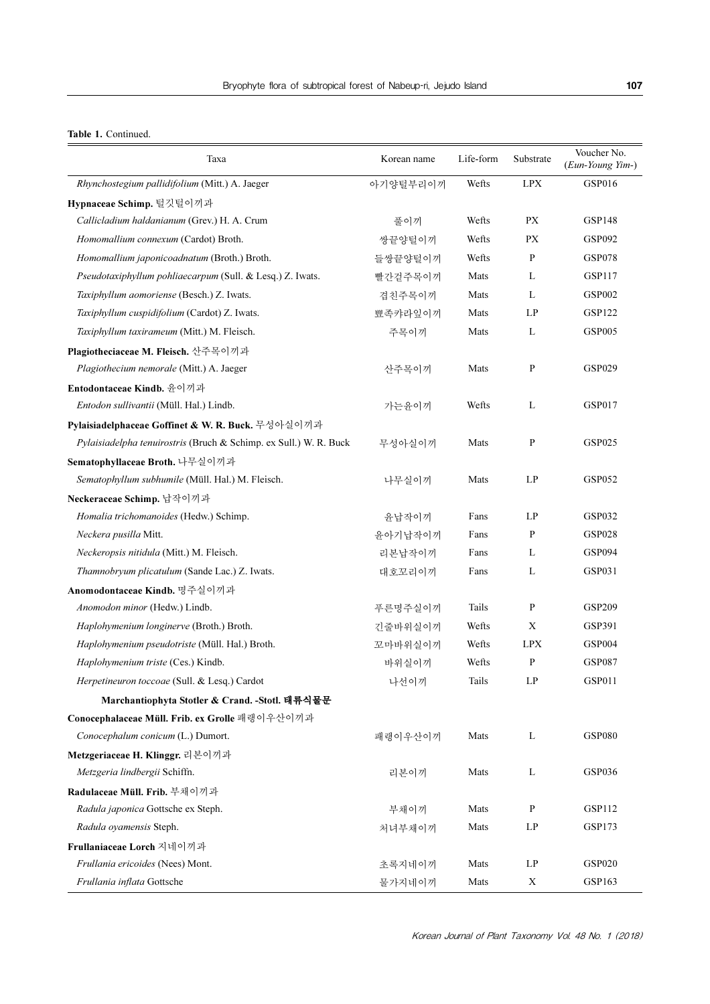#### Table 1. Continued.

| Taxa                                                              | Korean name | Life-form | Substrate                  | Voucher No.<br>(Eun-Young Yim-) |
|-------------------------------------------------------------------|-------------|-----------|----------------------------|---------------------------------|
| Rhynchostegium pallidifolium (Mitt.) A. Jaeger                    | 아기양털부리이끼    | Wefts     | <b>LPX</b>                 | GSP016                          |
| Hypnaceae Schimp. 털깃털이끼과                                          |             |           |                            |                                 |
| Callicladium haldanianum (Grev.) H. A. Crum                       | 풀이끼         | Wefts     | <b>PX</b>                  | <b>GSP148</b>                   |
| Homomallium connexum (Cardot) Broth.                              | 쌍끝양털이끼      | Wefts     | PX                         | <b>GSP092</b>                   |
| Homomallium japonicoadnatum (Broth.) Broth.                       | 들쌍끝양털이끼     | Wefts     | P                          | <b>GSP078</b>                   |
| Pseudotaxiphyllum pohliaecarpum (Sull. & Lesq.) Z. Iwats.         | 빨간겉주목이끼     | Mats      | L                          | GSP117                          |
| Taxiphyllum aomoriense (Besch.) Z. Iwats.                         | 겹친주목이끼      | Mats      | L                          | <b>GSP002</b>                   |
| Taxiphyllum cuspidifolium (Cardot) Z. Iwats.                      | 뾰족캬라잎이끼     | Mats      | LP                         | <b>GSP122</b>                   |
| Taxiphyllum taxirameum (Mitt.) M. Fleisch.                        | 주목이끼        | Mats      | L                          | <b>GSP005</b>                   |
| Plagiotheciaceae M. Fleisch. 산주목이끼과                               |             |           |                            |                                 |
| Plagiothecium nemorale (Mitt.) A. Jaeger                          | 산주목이끼       | Mats      | $\mathbf{P}$               | <b>GSP029</b>                   |
| Entodontaceae Kindb. 윤이끼과                                         |             |           |                            |                                 |
| Entodon sullivantii (Müll. Hal.) Lindb.                           | 가는윤이끼       | Wefts     | $\mathbf{L}$               | <b>GSP017</b>                   |
| Pylaisiadelphaceae Goffinet & W. R. Buck. 무성아실이끼과                 |             |           |                            |                                 |
| Pylaisiadelpha tenuirostris (Bruch & Schimp. ex Sull.) W. R. Buck | 무성아실이끼      | Mats      | $\mathbf{P}$               | <b>GSP025</b>                   |
| Sematophyllaceae Broth. 나무실이끼과                                    |             |           |                            |                                 |
| Sematophyllum subhumile (Müll. Hal.) M. Fleisch.                  | 나무실이끼       | Mats      | LP                         | <b>GSP052</b>                   |
| Neckeraceae Schimp. 납작이끼과                                         |             |           |                            |                                 |
| Homalia trichomanoides (Hedw.) Schimp.                            | 윤납작이끼       | Fans      | LP                         | <b>GSP032</b>                   |
| Neckera pusilla Mitt.                                             | 윤아기납작이끼     | Fans      | P                          | <b>GSP028</b>                   |
| Neckeropsis nitidula (Mitt.) M. Fleisch.                          | 리본납작이끼      | Fans      | L                          | <b>GSP094</b>                   |
| Thamnobryum plicatulum (Sande Lac.) Z. Iwats.                     | 대호꼬리이끼      | Fans      | L                          | GSP031                          |
| Anomodontaceae Kindb. 명주실이끼과                                      |             |           |                            |                                 |
| Anomodon minor (Hedw.) Lindb.                                     | 푸른명주실이끼     | Tails     | $\mathbf{P}$               | <b>GSP209</b>                   |
| Haplohymenium longinerve (Broth.) Broth.                          | 긴줄바위실이끼     | Wefts     | X                          | GSP391                          |
| Haplohymenium pseudotriste (Müll. Hal.) Broth.                    | 꼬마바위실이끼     | Wefts     | <b>LPX</b>                 | <b>GSP004</b>                   |
| Haplohymenium triste (Ces.) Kindb.                                | 바위실이끼       | Wefts     | $\mathbf{P}$               | <b>GSP087</b>                   |
| Herpetineuron toccoae (Sull. & Lesq.) Cardot                      | 나선이끼        | Tails     | LP                         | GSP011                          |
| Marchantiophyta Stotler & Crand. -Stotl. 태류식물문                    |             |           |                            |                                 |
| Conocephalaceae Müll. Frib. ex Grolle 패랭이우산이끼과                    |             |           |                            |                                 |
| Conocephalum conicum (L.) Dumort.                                 | 패랭이우산이끼     | Mats      | $\mathbf{L}$               | <b>GSP080</b>                   |
| Metzgeriaceae H. Klinggr. 리본이끼과                                   |             |           |                            |                                 |
| Metzgeria lindbergii Schiffn.                                     | 리본이끼        | Mats      | L                          | <b>GSP036</b>                   |
| Radulaceae Müll. Frib. 부채이끼과                                      |             |           |                            |                                 |
| Radula japonica Gottsche ex Steph.                                | 부채이끼        | Mats      | $\, {\bf p}$               | GSP112                          |
| Radula oyamensis Steph.                                           | 처녀부채이끼      | Mats      | $\mathop{\rm LP}\nolimits$ | <b>GSP173</b>                   |
| Frullaniaceae Lorch 지네이끼과                                         |             |           |                            |                                 |
| Frullania ericoides (Nees) Mont.                                  | 초록지네이끼      | Mats      | LP                         | <b>GSP020</b>                   |
| Frullania inflata Gottsche                                        | 물가지네이끼      | Mats      | X                          | GSP163                          |